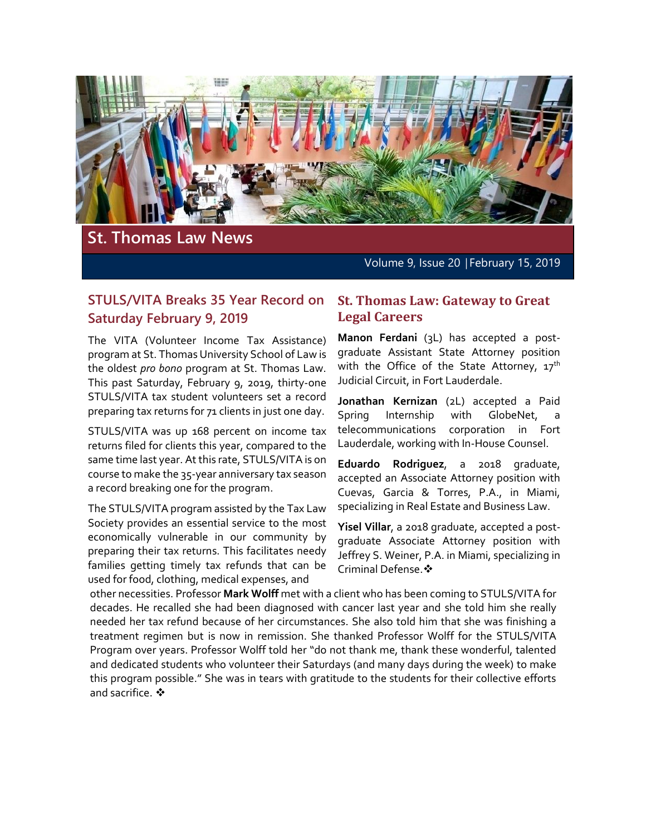

# **St. Thomas Law News**

Volume 9, Issue 20 | February 15, 2019

# **STULS/VITA Breaks 35 Year Record on Saturday February 9, 2019**

The VITA (Volunteer Income Tax Assistance) program at St. Thomas University School of Law is the oldest *pro bono* program at St. Thomas Law. This past Saturday, February 9, 2019, thirty-one STULS/VITA tax student volunteers set a record preparing tax returns for 71 clients in just one day.

STULS/VITA was up 168 percent on income tax returns filed for clients this year, compared to the same time last year. At this rate, STULS/VITA is on course to make the 35-year anniversary tax season a record breaking one for the program.

The STULS/VITA program assisted by the Tax Law Society provides an essential service to the most economically vulnerable in our community by preparing their tax returns. This facilitates needy families getting timely tax refunds that can be used for food, clothing, medical expenses, and

#### **St. Thomas Law: Gateway to Great Legal Careers**

**Manon Ferdani** (3L) has accepted a postgraduate Assistant State Attorney position with the Office of the State Attorney,  $17<sup>th</sup>$ Judicial Circuit, in Fort Lauderdale.

**Jonathan Kernizan** (2L) accepted a Paid Spring Internship with GlobeNet, a telecommunications corporation in Fort Lauderdale, working with In-House Counsel.

**Eduardo Rodriguez**, a 2018 graduate, accepted an Associate Attorney position with Cuevas, Garcia & Torres, P.A., in Miami, specializing in Real Estate and Business Law.

**Yisel Villar**, a 2018 graduate, accepted a postgraduate Associate Attorney position with Jeffrey S. Weiner, P.A. in Miami, specializing in Criminal Defense.

other necessities. Professor **Mark Wolff** met with a client who has been coming to STULS/VITA for decades. He recalled she had been diagnosed with cancer last year and she told him she really needed her tax refund because of her circumstances. She also told him that she was finishing a treatment regimen but is now in remission. She thanked Professor Wolff for the STULS/VITA Program over years. Professor Wolff told her "do not thank me, thank these wonderful, talented and dedicated students who volunteer their Saturdays (and many days during the week) to make this program possible." She was in tears with gratitude to the students for their collective efforts and sacrifice.  $\clubsuit$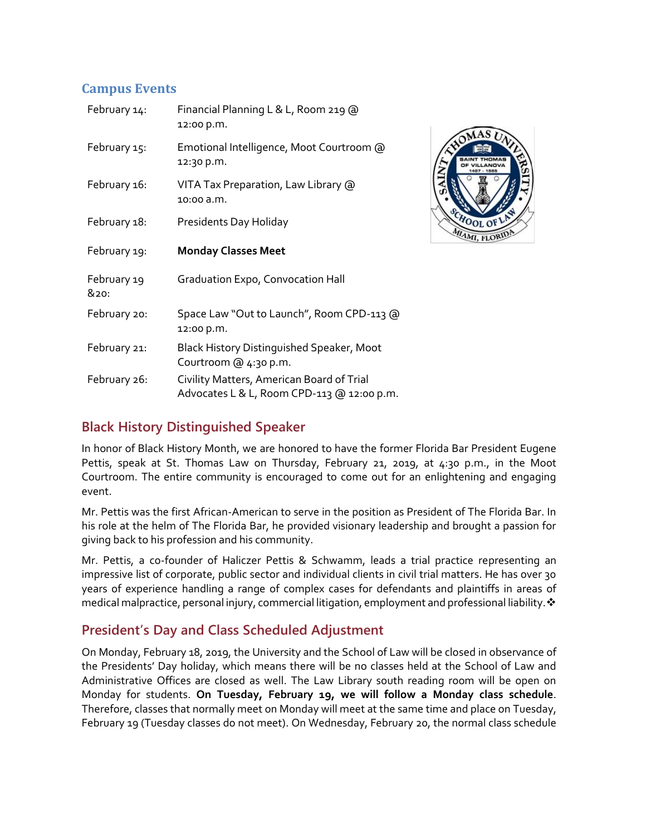# **Campus Events**

| February 14:        | Financial Planning L & L, Room 219 @<br>12:00 p.m.                 |
|---------------------|--------------------------------------------------------------------|
| February 15:        | Emotional Intelligence, Moot Courtroom @<br>12:30 p.m.             |
| February 16:        | VITA Tax Preparation, Law Library @<br>10:00 a.m.                  |
| February 18:        | Presidents Day Holiday                                             |
| February 19:        | <b>Monday Classes Meet</b>                                         |
| February 19<br>&20: | <b>Graduation Expo, Convocation Hall</b>                           |
| February 20:        | Space Law "Out to Launch", Room CPD-113 @<br>12:00 p.m.            |
| February 21:        | Black History Distinguished Speaker, Moot<br>Courtroom @ 4:30 p.m. |
| February 26:        | Civility Matters, American Board of Trial                          |



# **Black History Distinguished Speaker**

In honor of Black History Month, we are honored to have the former Florida Bar President Eugene Pettis, speak at St. Thomas Law on Thursday, February 21, 2019, at 4:30 p.m., in the Moot Courtroom. The entire community is encouraged to come out for an enlightening and engaging event.

Mr. Pettis was the first African-American to serve in the position as President of The Florida Bar. In his role at the helm of The Florida Bar, he provided visionary leadership and brought a passion for giving back to his profession and his community.

Mr. Pettis, a co-founder of Haliczer Pettis & Schwamm, leads a trial practice representing an impressive list of corporate, public sector and individual clients in civil trial matters. He has over 30 years of experience handling a range of complex cases for defendants and plaintiffs in areas of medical malpractice, personal injury, commercial litigation, employment and professional liability.  $\cdot$ 

# **President's Day and Class Scheduled Adjustment**

On Monday, February 18, 2019, the University and the School of Law will be closed in observance of the Presidents' Day holiday, which means there will be no classes held at the School of Law and Administrative Offices are closed as well. The Law Library south reading room will be open on Monday for students. **On Tuesday, February 19, we will follow a Monday class schedule**. Therefore, classes that normally meet on Monday will meet at the same time and place on Tuesday, February 19 (Tuesday classes do not meet). On Wednesday, February 20, the normal class schedule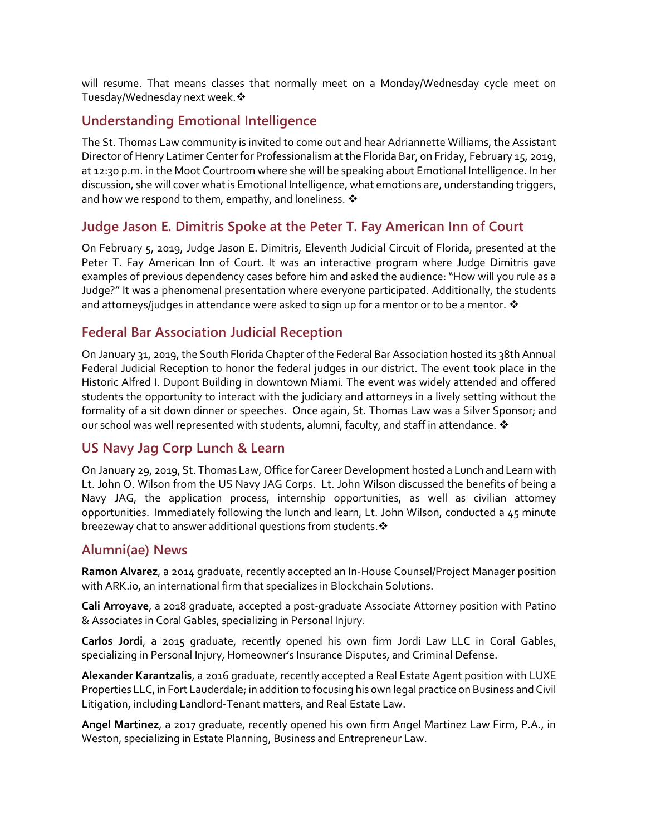will resume. That means classes that normally meet on a Monday/Wednesday cycle meet on Tuesday/Wednesday next week. \*

## **Understanding Emotional Intelligence**

The St. Thomas Law community is invited to come out and hear Adriannette Williams, the Assistant Director of Henry Latimer Center for Professionalism at the Florida Bar, on Friday, February 15, 2019, at 12:30 p.m. in the Moot Courtroom where she will be speaking about Emotional Intelligence. In her discussion, she will cover what is Emotional Intelligence, what emotions are, understanding triggers, and how we respond to them, empathy, and loneliness.  $\mathbf{\hat{*}}$ 

# **Judge Jason E. Dimitris Spoke at the Peter T. Fay American Inn of Court**

On February 5, 2019, Judge Jason E. Dimitris, Eleventh Judicial Circuit of Florida, presented at the Peter T. Fay American Inn of Court. It was an interactive program where Judge Dimitris gave examples of previous dependency cases before him and asked the audience: "How will you rule as a Judge?" It was a phenomenal presentation where everyone participated. Additionally, the students and attorneys/judges in attendance were asked to sign up for a mentor or to be a mentor.  $\clubsuit$ 

#### **Federal Bar Association Judicial Reception**

On January 31, 2019, the South Florida Chapter of the Federal Bar Association hosted its 38th Annual Federal Judicial Reception to honor the federal judges in our district. The event took place in the Historic Alfred I. Dupont Building in downtown Miami. The event was widely attended and offered students the opportunity to interact with the judiciary and attorneys in a lively setting without the formality of a sit down dinner or speeches. Once again, St. Thomas Law was a Silver Sponsor; and our school was well represented with students, alumni, faculty, and staff in attendance.  $\clubsuit$ 

# **US Navy Jag Corp Lunch & Learn**

On January 29, 2019, St. Thomas Law, Office for Career Development hosted a Lunch and Learn with Lt. John O. Wilson from the US Navy JAG Corps. Lt. John Wilson discussed the benefits of being a Navy JAG, the application process, internship opportunities, as well as civilian attorney opportunities. Immediately following the lunch and learn, Lt. John Wilson, conducted a 45 minute breezeway chat to answer additional questions from students.  $\mathbf{\hat{*}}$ 

# **Alumni(ae) News**

**Ramon Alvarez**, a 2014 graduate, recently accepted an In-House Counsel/Project Manager position with ARK.io, an international firm that specializes in Blockchain Solutions.

**Cali Arroyave**, a 2018 graduate, accepted a post-graduate Associate Attorney position with Patino & Associates in Coral Gables, specializing in Personal Injury.

**Carlos Jordi**, a 2015 graduate, recently opened his own firm Jordi Law LLC in Coral Gables, specializing in Personal Injury, Homeowner's Insurance Disputes, and Criminal Defense.

**Alexander Karantzalis**, a 2016 graduate, recently accepted a Real Estate Agent position with LUXE Properties LLC, in Fort Lauderdale; in addition to focusing his own legal practice on Business and Civil Litigation, including Landlord-Tenant matters, and Real Estate Law.

**Angel Martinez**, a 2017 graduate, recently opened his own firm Angel Martinez Law Firm, P.A., in Weston, specializing in Estate Planning, Business and Entrepreneur Law.